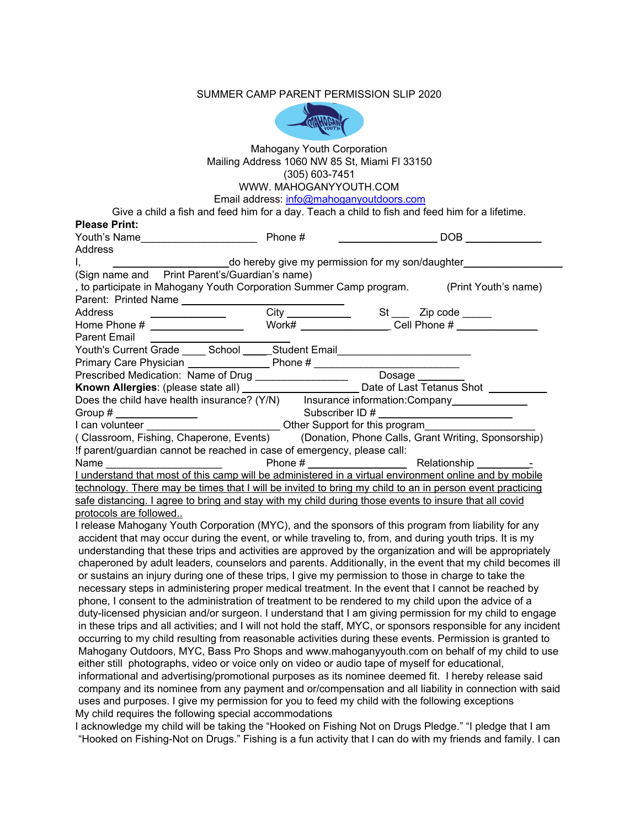## SUMMER CAMP PARENT PERMISSION SLIP 2020



## Mahogany Youth Corporation Mailing Address 1060 NW 85 St, Miami Fl 33150 (305) 603-7451 WWW. MAHOGANYYOUTH.COM

Email address: [info@mahoganyoutdoors.com](mailto:info@mahoganyoutdoors.com)

Give a child a fish and feed him for a day. Teach a child to fish and feed him for a lifetime. **Please Print:**

| Please Print:                                                                                                   |                                                  |  |                |
|-----------------------------------------------------------------------------------------------------------------|--------------------------------------------------|--|----------------|
| Youth's Name______________________                                                                              | Phone #                                          |  | DOB <b>DOB</b> |
| <b>Address</b>                                                                                                  |                                                  |  |                |
| ١,                                                                                                              | do hereby give my permission for my son/daughter |  |                |
| (Sign name and Print Parent's/Guardian's name)                                                                  |                                                  |  |                |
| , to participate in Mahogany Youth Corporation Summer Camp program. (Print Youth's name)                        |                                                  |  |                |
| Parent: Printed Name                                                                                            |                                                  |  |                |
|                                                                                                                 |                                                  |  |                |
|                                                                                                                 |                                                  |  |                |
| <b>Parent Email</b>                                                                                             |                                                  |  |                |
| Youth's Current Grade _____ School ______ Student Email_________________________                                |                                                  |  |                |
| Primary Care Physician <u>Constant Community Phone</u> # Community Phone # 2014                                 |                                                  |  |                |
|                                                                                                                 |                                                  |  |                |
|                                                                                                                 |                                                  |  |                |
|                                                                                                                 |                                                  |  |                |
|                                                                                                                 |                                                  |  |                |
| Group #<br>I can volunteer __________________________________Other Support for this program                     |                                                  |  |                |
| (Classroom, Fishing, Chaperone, Events) (Donation, Phone Calls, Grant Writing, Sponsorship)                     |                                                  |  |                |
| !f parent/guardian cannot be reached in case of emergency, please call:                                         |                                                  |  |                |
|                                                                                                                 |                                                  |  |                |
|                                                                                                                 |                                                  |  |                |
| technology. There may be times that I will be invited to bring my child to an in person event practicing        |                                                  |  |                |
| safe distancing. I agree to bring and stay with my child during those events to insure that all covid           |                                                  |  |                |
| protocols are followed                                                                                          |                                                  |  |                |
| I release Mahogany Youth Corporation (MYC), and the sponsors of this program from liability for any             |                                                  |  |                |
| accident that may occur during the event, or while traveling to, from, and during youth trips. It is my         |                                                  |  |                |
| understanding that these trips and activities are approved by the organization and will be appropriately        |                                                  |  |                |
| chaperoned by adult leaders, counselors and parents. Additionally, in the event that my child becomes ill       |                                                  |  |                |
| or sustains an injury during one of these trips, I give my permission to those in charge to take the            |                                                  |  |                |
| necessary steps in administering proper medical treatment. In the event that I cannot be reached by             |                                                  |  |                |
| phone, I consent to the administration of treatment to be rendered to my child upon the advice of a             |                                                  |  |                |
| duty-licensed physician and/or surgeon. I understand that I am giving permission for my child to engage         |                                                  |  |                |
| in these trips and all activities; and I will not hold the staff, MYC, or sponsors responsible for any incident |                                                  |  |                |
| occurring to my child resulting from reasonable activities during these events. Permission is granted to        |                                                  |  |                |
| Mahogany Outdoors, MYC, Bass Pro Shops and www.mahoganyyouth.com on behalf of my child to use                   |                                                  |  |                |
| either still photographs, video or voice only on video or audio tape of myself for educational,                 |                                                  |  |                |
| informational and advertising/promotional purposes as its nominee deemed fit. I hereby release said             |                                                  |  |                |
| company and its nominee from any payment and or/compensation and all liability in connection with said          |                                                  |  |                |
| uses and purposes. I give my permission for you to feed my child with the following exceptions                  |                                                  |  |                |
| My child requires the following special accommodations                                                          |                                                  |  |                |
|                                                                                                                 |                                                  |  |                |

I acknowledge my child will be taking the "Hooked on Fishing Not on Drugs Pledge." "I pledge that I am "Hooked on Fishing-Not on Drugs." Fishing is a fun activity that I can do with my friends and family. I can